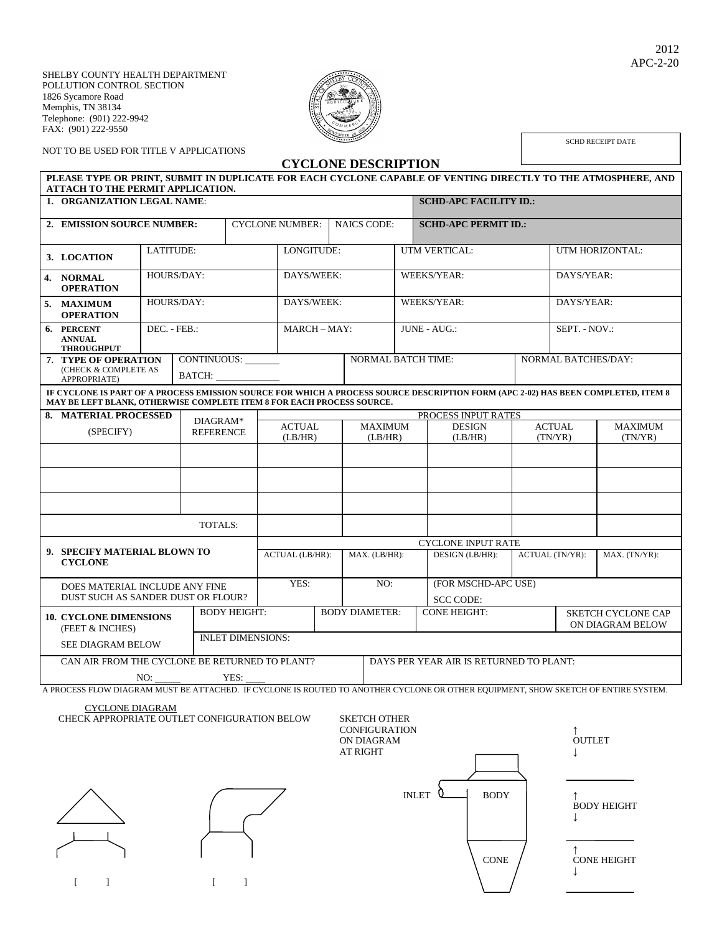SHELBY COUNTY HEALTH DEPARTMENT POLLUTION CONTROL SECTION 1826 Sycamore Road Memphis, TN 38134 Telephone: (901) 222-9942 FAX: (901) 222-9550



SCHD RECEIPT DATE

NOT TO BE USED FOR TITLE V APPLICATIONS

**CYCLONE DESCRIPTION PLEASE TYPE OR PRINT, SUBMIT IN DUPLICATE FOR EACH CYCLONE CAPABLE OF VENTING DIRECTLY TO THE ATMOSPHERE, AND ATTACH TO THE PERMIT APPLICATION. 1. ORGANIZATION LEGAL NAME**: **SCHD-APC FACILITY ID.: 2. EMISSION SOURCE NUMBER:** CYCLONE NUMBER: NAICS CODE: **SCHD-APC PERMIT ID.: 3. LOCATION** LATITUDE:  $\overline{L}$  LONGITUDE: UTM VERTICAL: UTM HORIZONTAL: **4. NORMAL OPERATION** HOURS/DAY: DAYS/WEEK: WEEKS/YEAR: DAYS/YEAR: **5. MAXIMUM OPERATION** HOURS/DAY: DAYS/WEEK: WEEKS/YEAR: DAYS/YEAR: **6. PERCENT ANNUAL THROUGHPUT** DEC. - FEB.: MARCH – MAY: JUNE - AUG.: SEPT. - NOV.: **7. TYPE OF OPERATION**  (CHECK & COMPLETE AS APPROPRIATE) CONTINUOUS: BATCH: NORMAL BATCH TIME: NORMAL BATCHES/DAY: **IF CYCLONE IS PART OF A PROCESS EMISSION SOURCE FOR WHICH A PROCESS SOURCE DESCRIPTION FORM (APC 2-02) HAS BEEN COMPLETED, ITEM 8 MAY BE LEFT BLANK, OTHERWISE COMPLETE ITEM 8 FOR EACH PROCESS SOURCE. 8. MATERIAL PROCESSED** (SPECIFY) DIAGRAM\* REFERENCE PROCESS INPUT RATES ACTUAL (LB/HR) MAXIMUM (LB/HR) DESIGN (LB/HR) ACTUAL (TN/YR) MAXIMUM (TN/YR) TOTALS: **9. SPECIFY MATERIAL BLOWN TO CYCLONE** CYCLONE INPUT RATE ACTUAL (LB/HR): MAX. (LB/HR): DESIGN (LB/HR): ACTUAL (TN/YR): MAX. (TN/YR): DOES MATERIAL INCLUDE ANY FINE DUST SUCH AS SANDER DUST OR FLOUR? YES: NO: (FOR MSCHD-APC USE) SCC CODE: **10. CYCLONE DIMENSIONS** (FEET & INCHES) SEE DIAGRAM BELOW BODY HEIGHT: BODY DIAMETER: CONE HEIGHT: SKETCH CYCLONE CAP ON DIAGRAM BELOW INLET DIMENSIONS: CAN AIR FROM THE CYCLONE BE RETURNED TO PLANT? YES: DAYS PER YEAR AIR IS RETURNED TO PLANT: A PROCESS FLOW DIAGRAM MUST BE ATTACHED. IF CYCLONE IS ROUTED TO ANOTHER CYCLONE OR OTHER EQUIPMENT, SHOW SKETCH OF ENTIRE SYSTEM.

CYCLONE DIAGRAM

CHECK APPROPRIATE OUTLET CONFIGURATION BELOW SKETCH

| <b>SKETCH OTHER</b><br><b>CONFIGURATION</b><br>ON DIAGRAM<br><b>AT RIGHT</b> |             | <b>OUTLET</b>      |
|------------------------------------------------------------------------------|-------------|--------------------|
| <b>INLET</b>                                                                 | <b>BODY</b> | <b>BODY HEIGHT</b> |
|                                                                              | <b>CONE</b> | <b>CONE HEIGHT</b> |

 $[$   $]$   $[$   $]$